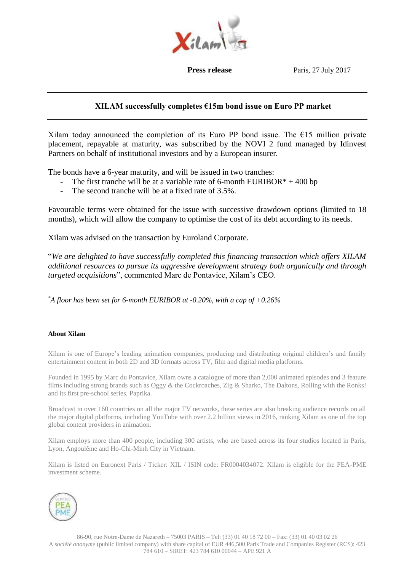

**Press release** Paris, 27 July 2017

# **XILAM successfully completes €15m bond issue on Euro PP market**

Xilam today announced the completion of its Euro PP bond issue. The  $E15$  million private placement, repayable at maturity, was subscribed by the NOVI 2 fund managed by Idinvest Partners on behalf of institutional investors and by a European insurer.

The bonds have a 6-year maturity, and will be issued in two tranches:

- The first tranche will be at a variable rate of 6-month EURIBOR $* + 400$  bp
- The second tranche will be at a fixed rate of 3.5%.

Favourable terms were obtained for the issue with successive drawdown options (limited to 18 months), which will allow the company to optimise the cost of its debt according to its needs.

Xilam was advised on the transaction by Euroland Corporate.

"*We are delighted to have successfully completed this financing transaction which offers XILAM additional resources to pursue its aggressive development strategy both organically and through targeted acquisitions*", commented Marc de Pontavice, Xilam's CEO.

*\*A floor has been set for 6-month EURIBOR at -0.20%, with a cap of +0.26%*

## **About Xilam**

Xilam is one of Europe's leading animation companies, producing and distributing original children's and family entertainment content in both 2D and 3D formats across TV, film and digital media platforms.

Founded in 1995 by Marc du Pontavice, Xilam owns a catalogue of more than 2,000 animated episodes and 3 feature films including strong brands such as Oggy & the Cockroaches, Zig & Sharko, The Daltons, Rolling with the Ronks! and its first pre-school series, Paprika.

Broadcast in over 160 countries on all the major TV networks, these series are also breaking audience records on all the major digital platforms, including YouTube with over 2.2 billion views in 2016, ranking Xilam as one of the top global content providers in animation.

Xilam employs more than 400 people, including 300 artists, who are based across its four studios located in Paris, Lyon, Angoulême and Ho-Chi-Minh City in Vietnam.

Xilam is listed on Euronext Paris / Ticker: XIL / ISIN code: FR0004034072. Xilam is eligible for the PEA-PME investment scheme.